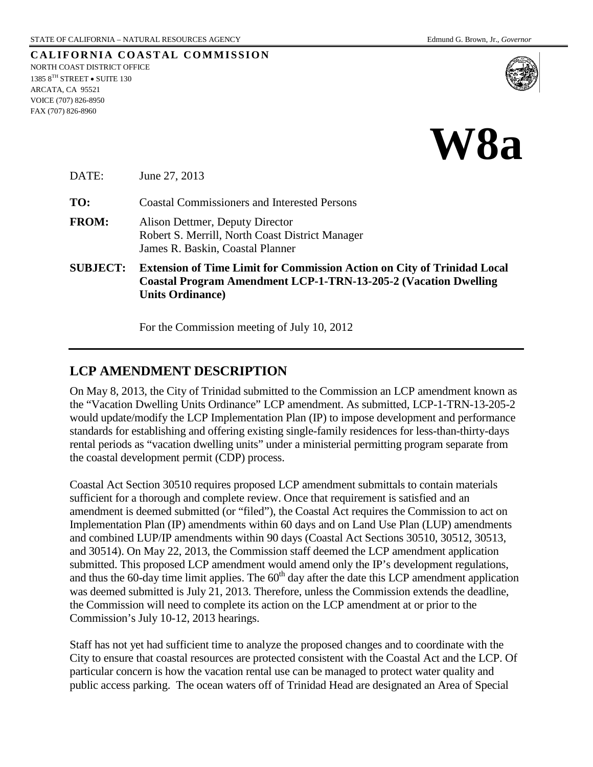**CALIFORNIA COASTAL COMMISSION** NORTH COAST DISTRICT OFFICE 1385 $8^{\mathrm{TH}}$  STREET  $\bullet$  SUITE 130 ARCATA, CA 95521 VOICE (707) 826-8950 FAX (707) 826-8960





DATE: June 27, 2013

**TO:** Coastal Commissioners and Interested Persons

- **FROM:** Alison Dettmer, Deputy Director Robert S. Merrill, North Coast District Manager James R. Baskin, Coastal Planner
- **SUBJECT: Extension of Time Limit for Commission Action on City of Trinidad Local Coastal Program Amendment LCP-1-TRN-13-205-2 (Vacation Dwelling Units Ordinance)**

For the Commission meeting of July 10, 2012

## **LCP AMENDMENT DESCRIPTION**

On May 8, 2013, the City of Trinidad submitted to the Commission an LCP amendment known as the "Vacation Dwelling Units Ordinance" LCP amendment. As submitted, LCP-1-TRN-13-205-2 would update/modify the LCP Implementation Plan (IP) to impose development and performance standards for establishing and offering existing single-family residences for less-than-thirty-days rental periods as "vacation dwelling units" under a ministerial permitting program separate from the coastal development permit (CDP) process.

Coastal Act Section 30510 requires proposed LCP amendment submittals to contain materials sufficient for a thorough and complete review. Once that requirement is satisfied and an amendment is deemed submitted (or "filed"), the Coastal Act requires the Commission to act on Implementation Plan (IP) amendments within 60 days and on Land Use Plan (LUP) amendments and combined LUP/IP amendments within 90 days (Coastal Act Sections 30510, 30512, 30513, and 30514). On May 22, 2013, the Commission staff deemed the LCP amendment application submitted. This proposed LCP amendment would amend only the IP's development regulations, and thus the 60-day time limit applies. The  $60<sup>th</sup>$  day after the date this LCP amendment application was deemed submitted is July 21, 2013. Therefore, unless the Commission extends the deadline, the Commission will need to complete its action on the LCP amendment at or prior to the Commission's July 10-12, 2013 hearings.

Staff has not yet had sufficient time to analyze the proposed changes and to coordinate with the City to ensure that coastal resources are protected consistent with the Coastal Act and the LCP. Of particular concern is how the vacation rental use can be managed to protect water quality and public access parking. The ocean waters off of Trinidad Head are designated an Area of Special